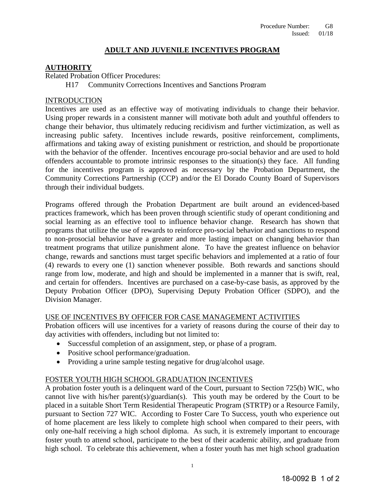# **ADULT AND JUVENILE INCENTIVES PROGRAM**

# **AUTHORITY**

Related Probation Officer Procedures:

H17 Community Corrections Incentives and Sanctions Program

### INTRODUCTION

Incentives are used as an effective way of motivating individuals to change their behavior. Using proper rewards in a consistent manner will motivate both adult and youthful offenders to change their behavior, thus ultimately reducing recidivism and further victimization, as well as increasing public safety. Incentives include rewards, positive reinforcement, compliments, affirmations and taking away of existing punishment or restriction, and should be proportionate with the behavior of the offender. Incentives encourage pro-social behavior and are used to hold offenders accountable to promote intrinsic responses to the situation(s) they face. All funding for the incentives program is approved as necessary by the Probation Department, the Community Corrections Partnership (CCP) and/or the El Dorado County Board of Supervisors through their individual budgets.

Programs offered through the Probation Department are built around an evidenced-based practices framework, which has been proven through scientific study of operant conditioning and social learning as an effective tool to influence behavior change. Research has shown that programs that utilize the use of rewards to reinforce pro-social behavior and sanctions to respond to non-prosocial behavior have a greater and more lasting impact on changing behavior than treatment programs that utilize punishment alone. To have the greatest influence on behavior change, rewards and sanctions must target specific behaviors and implemented at a ratio of four (4) rewards to every one (1) sanction whenever possible. Both rewards and sanctions should range from low, moderate, and high and should be implemented in a manner that is swift, real, and certain for offenders. Incentives are purchased on a case-by-case basis, as approved by the Deputy Probation Officer (DPO), Supervising Deputy Probation Officer (SDPO), and the Division Manager.

### USE OF INCENTIVES BY OFFICER FOR CASE MANAGEMENT ACTIVITIES

Probation officers will use incentives for a variety of reasons during the course of their day to day activities with offenders, including but not limited to:

- Successful completion of an assignment, step, or phase of a program.
- Positive school performance/graduation.
- Providing a urine sample testing negative for drug/alcohol usage.

### FOSTER YOUTH HIGH SCHOOL GRADUATION INCENTIVES

A probation foster youth is a delinquent ward of the Court, pursuant to Section 725(b) WIC, who cannot live with his/her parent(s)/guardian(s). This youth may be ordered by the Court to be placed in a suitable Short Term Residential Therapeutic Program (STRTP) or a Resource Family, pursuant to Section 727 WIC. According to Foster Care To Success, youth who experience out of home placement are less likely to complete high school when compared to their peers, with only one-half receiving a high school diploma. As such, it is extremely important to encourage foster youth to attend school, participate to the best of their academic ability, and graduate from high school. To celebrate this achievement, when a foster youth has met high school graduation